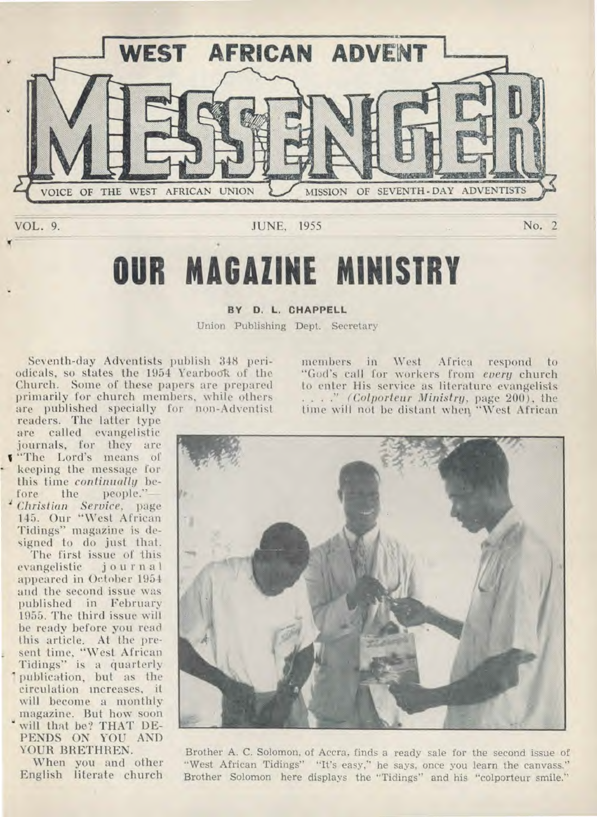

# **OUR MAGAZINE MINISTRY**

#### BY D. L. CHAPPELL

Union Publishing Dept. Secretary

Seventh-day Adventists publish 348 periodicals, so states the 1954 Yearbook of the Church. Some of these papers are prepared primarily for church members, while others are published specially for non-Adventist

readers. The latter type are called evangelistic journals, for they are "The Lord's means of keeping the message for this time *continually* before the people."—

**<sup>4</sup>***Christian Service,* page 145. Our "West African Tidings" magazine is designed to do just that.

The first issue of this evangelistic journal appeared in Oetober 1954 and the second issue was published in February 1955. The third issue will be ready before you read this article. At the present time, "West African Tidings" is a quarterly 1 publication, but as the circulation increases, it will become a monthly magazine. But how soon will that be? THAT DE-PENDS ON YOU AND YOUR BRETHREN.

When you and other English literate church members in West Africa respond to "God's call for workers from *every* church to enter His service as literature evangelists . . . ." *(Colporteur Ministry,* page 200), the time will not be distant when "West African



Brother A. C. Solomon, of Accra, finds a ready sale for the second issue of "West African Tidings" "It's easy," he says, once you learn the canvass." Brother Solomon here displays the "Tidings" and his "colporteur smile."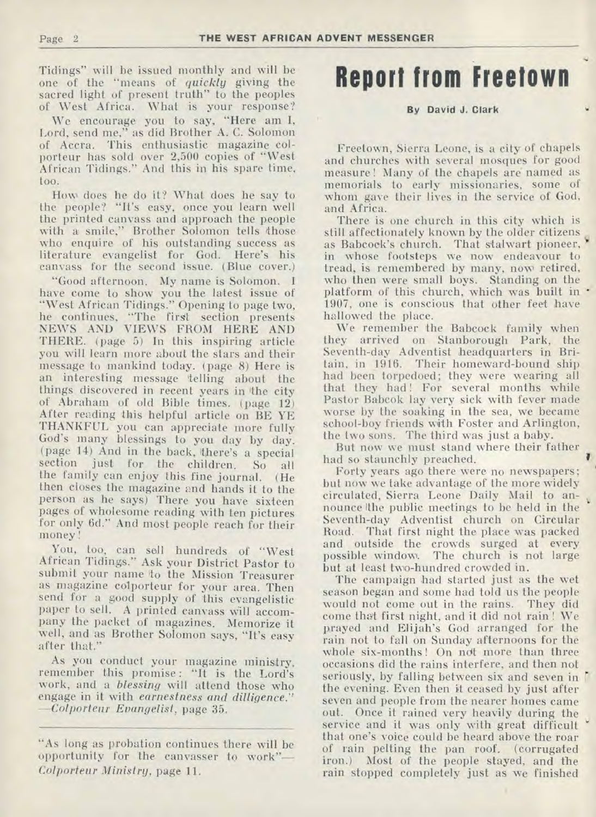Tidings" will be issued monthly and will be one of the "means of *quickly* giving the sacred light of present truth" to the peoples of West Africa. What is your response?

We encourage you to say, "Here am 1, Lord, send me," as did Brother A. C. Solomon of Accra. This enthusiastic magazine colporteur has sold over 2,500 copies of "West African Tidings." And this in his spare time, too.

How does he do it? What does he say to the people? "It's easy, once you learn well the printed canvass and approach the people with a smile," Brother Solomon tells those who enquire of his outstanding success as literature evangelist for God. Here's his canvass for the second issue. (Blue cover.)

"Good afternoon. My name is Solomon. I have come to show you the latest issue of "West African Tidings." Opening to page two, he continues, "The first section presents NEWS AND VIEWS FROM HERE AND THERE. (page 5) In this inspiring article you will learn more about the stars and their message to mankind today. (page 8) Here is an interesting message telling about the things discovered in recent years in the city of Abraham of old Bible times. (page 12) After reading this helpful article on BE YE THANKFUL you can appreciate more fully God's many blessings to you day by day. (page 14) And in the back, there's a special section just for the children. So all the family can enjoy this fine journal. (He then closes the magazine and hands it to the person as he says) There you have sixteen pages of wholesome reading with ten pictures for only 6d." And most people reach for their money !

You, too, can sell hundreds of "West African Tidings." Ask your District Pastor to submit your name to the Mission Treasurer as magazine colporteur for your area. Then send for a good supply of this evangelistic paper to sell. A printed canvass will accompany the packet of magazines. Memorize it well, and as Brother Solomon says, "It's easy after that."

As you conduct your magazine ministry, remember this promise : "It is the Lord's work, and a *blessing* will attend those who engage in it with *earnestness and dilligence." —Colporteur Evangelist,* page 35.

## **Report from Freetown**

#### By David J. Clark

Freetown, Sierra Leone, is a city of chapels and churches with several mosques for good measure! Many of the chapels are named as memorials to early missionaries, some of whom gave their lives in the service of God, and Africa.

There is one church in this city which is still affectionately known by the older citizens as Babcock's church. That stalwart pioneer, in whose footsteps we now endeavour to tread, is remembered by many, now retired, who then were small boys. Standing on the platform of this church, which was built in - 1907, one is conscious that other feet have hallowed the place.

We remember the Babcock family when they arrived on Stanborough Park, the Seventh-day Adventist headquarters in Britain, in 1916. Their homeward-bound ship had been torpedoed; they were wearing all that they had! For several months while Pastor Babcok lay very sick with fever made worse by the soaking in the sea, we became school-boy friends with Foster and Arlington, the two sons. The third was just a baby.

But now we must stand where their father had so staunchly preached.

Forty years ago there were no newspapers; but now we take advantage of the more widely circulated, Sierra Leone Daily Mail to announce the public meetings to be held in the Seventh-day Adventist church on Circular Road. That first night the place was packed and outside the crowds surged at every possible window. The church is not large but at least two-hundred crowded in.

The campaign had started just as the wet season began and some had told us the people would not come out in the rains. They did come that first night, and it did not rain ! We prayed and Elijah's God arranged for the rain not to fall on Sunday afternoons for the whole six-months! On not more than three occasions did the rains interfere, and then not seriously, by falling between six and seven in the evening. Even then it ceased by just after seven and people from the nearer homes came out. Once it rained very heavily during the service and it was only with great difficult that one's voice could be heard above the roar of rain pelting the pan roof. (corrugated iron.) Most of the people stayed, and the rain stopped completely just as we finished

<sup>&</sup>quot;As long as probation continues there will be opportunity for the canvasser to work"— *Colporteur Ministry,* page 11.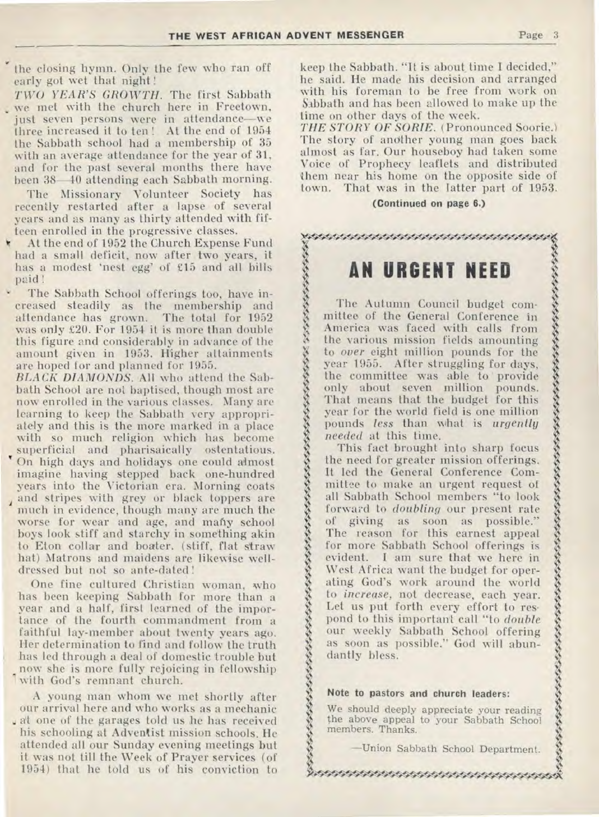$\hat{g}$ 

うんいいん いんこういん

 $\frac{1}{3}$  $\hat{\mathbf{x}}$  $\frac{3}{2}$ 

 $\hat{\mathbf{z}}$ 

 $\frac{3}{2}$ 

 $\frac{1}{2}$ 

7

Yy

 $\frac{1}{2}$ 

7

7  $\delta$ 

7

 $\delta$ 

7

7 8,

the closing hymn. Only the few who ran off early got wet that night !

*TWO YEAR'S GROWTH.* The first Sabbath , we met with the church here in Freetown, just seven persons were in attendance—we three increased it to ten ! At the end of 1954 the Sabbath school had a membership of 35 with an average attendance for the year of 31, and for the past several months there have been 38-40 attending each Sabbath morning.

The Missionary Volunteer Society has recently restarted after a lapse of several years and as many as thirty attended with fifteen enrolled in the progressive classes.

At the end of 1952 the Church Expense Fund had a small deficit, now after two years, it has a modest 'nest egg' of £15 and all bills paid !

The Sabbath School offerings too, have increased steadily as the membership and attendance has grown. The total for 1952 was only £20. For 1954 it is more than double this figure and considerably in advance of the amount given in 1953. Higher attainments are hoped for and planned for 1955.

*BLACK DIAMONDS.* All who attend the Sabbath School are not baptised, though most are now enrolled in the various classes. Many are learning to keep the Sabbath very appropriately and this is the more marked in a place with so much religion which has become superficial and pharisaically ostentatious. On high days and holidays one could almost imagine having stepped back one-hundred years into the Victorian era. Morning coats and stripes with grey or black toppers are much in evidence, though many are much the worse for wear and age, and many school boys look stiff and starchy in something akin to Eton collar and boater. (stiff, flat straw hat) Matrons and maidens are likewise welldressed but not so ante-dated !

One fine cultured Christian woman, who has been keeping Sabbath for more than a year and a half, first learned of the importance of the fourth commandment from a faithful lay-member about twenty years ago. Her determination to find and follow the truth has led through a deal of domestic trouble but now she is more fully rejoicing in fellowship with God's remnant church.

A young man whom we met shortly after our arrival here and who works as a mechanic at one of the garages told us he has received his schooling at Adventist mission schools. He attended all our Sunday evening meetings but it was not till the Week of Prayer services (of 1954) that he told us of his conviction to

keep the Sabbath. "It is about time I decided," he said. He made his decision and arranged with his foreman to be free from work on Sabbath and has been allowed to make up the time on other days of the week.

*THE STORY OF SORIE. (Pronounced* Soorie.) The story of another young man goes back almost as far. Our houseboy had taken some Voice of Prophecy leaflets and distributed them near his home on the opposite side of town. That was in the Tatter part of 1953.

#### **(Continued on page 6.)**

### \*\*\*\*\*\*\*\*\*\*\*\*\*\*\*\*\*\*\*\*\*\*\*\*\*\*\*\*\*\*\*\*\*

## **AN URGENT NEED**

The Autumn Council budget committee of the General Conference in America was faced with calls from the various mission fields amounting to *over* eight million pounds for the year 1955. After struggling for days, the committee was able to provide only about seven million pounds. That means that the budget for this year for the world field is one million pounds *less* than what is *urgently needed* at this time.

This fact brought into sharp focus the need for greater mission offerings. It led the General Conference Committee to make an urgent request of all Sabbath School members "to look forward to *doubling* our present rate of giving as soon as possible." The reason for this earnest appeal for more Sabbath School offerings is evident. I am sure that we here in West Africa want the budget for operating God's work around the world to *increase,* not decrease, each year. Let us put forth every effort to res• pond to this important call "to *double*  our weekly Sabbath School offering as soon as possible." God will abundantly bless.

#### **Note to pastors and church leaders:**

We should deeply appreciate your reading the above appeal to your Sabbath School members. Thanks.

\$t44A444:1:4 ow;\*\*otWolk

—Union Sabbath School Department.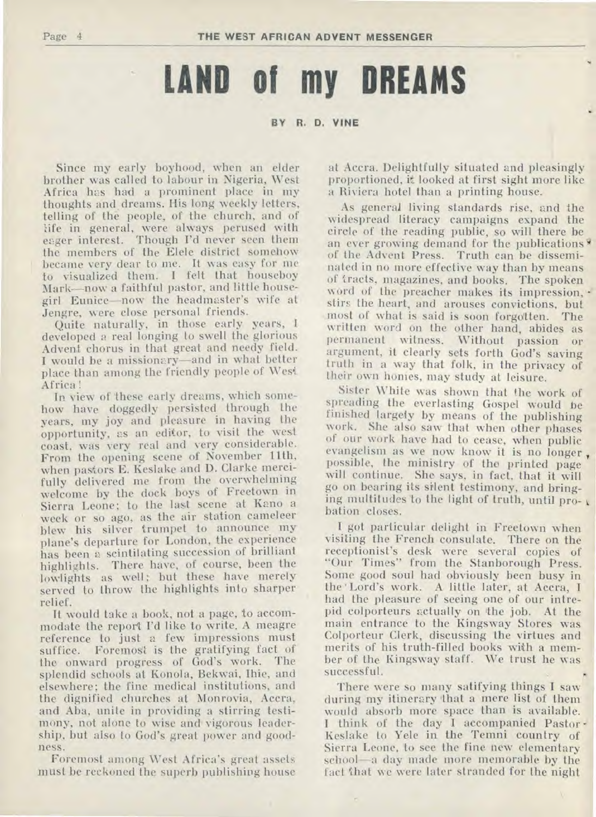# **LAND of my DREAMS**

#### **BY R. D. VINE**

Since my early boyhood, when an elder brother was called to labour in Nigeria, West Africa has had a prominent place in my thoughts and, dreams. His long weekly letters, telling of the people, of the church, and of life in general, were always perused with eager interest. Though I'd never seen them the members of the Elele district somehow became very dear to me. It was easy for me to visualized them. I felt that houseboy Mark—now a faithful pastor, and little housegirl Eunice—now the headmaster's wife at Jengre, were close personal friends.

Quite naturally, in those early years, I developed a real longing to swell the glorious Advent chorus in that great and needy field. I would be a missionary—and in what better place than among the friendly people of West Africa !

In view of these early dreams, which somehow have doggedly persisted through the years, my joy and pleasure in having the opportunity, as an editor, to visit the west coast, was very real and very considerable. From the opening scene of November 11th, when pastors E. Keslake and D. Clarke mercifully delivered me from the overwhelming welcome by the dock boys of Freetown in Sierra Leone; to the last scene at Kano a week or so ago, as the air station cameleer blew his silver trumpet to announce my plane's departure for London, the experience has been a scintilating succession of brilliant highlights. There have, of course, been the lowlights as well; but these have merely served to throw the highlights into sharper relief.

It would take a book, not a page, to accommodate the report I'd like to write. A meagre reference to just a few impressions must suffice. Foremost is the gratifying fact of the onward progress of God's work. The splendid schools at Konola, Bekwai, Ihie, and elsewhere; the fine medical institutions, and the dignified churches at Monrovia, Accra, and Aba, unite in providing a stirring testimony, not alone to wise and vigorous leadership, but also to God's great power and goodness.

Foremost among West Africa's great assets must be reckoned the superb publishing house at Accra. Delightfully situated and pleasingly proportioned, it looked at first sight more like a Riviera hotel than a printing house.

As general living standards rise, and the widespread literacy campaigns expand the circle of the reading public, so will there be an ever growing demand for the publications of the Advent Press. Truth can be disseminated in no more effective way than by means of tracts, magazines, and books. The spoken word of the preacher makes its impression, stirs the heart, and arouses convictions, but most of what is said is soon forgotten. The written word on the other hand, abides as permanent witness. Without passion or argument, it clearly sets forth God's saving truth in a way that folk, in the privacy of their own homes, may study at leisure.

Sister White was shown that the work of spreading the everlasting Gospel would be finished largely by means of the publishing work. She also saw that when other phases of our work have had to cease, when public evangelism as we now know it is no longer, possible, the ministry of the printed page will continue. She says, in fact, that it will go on bearing its silent testimony, and bringing multitudes to the light of truth, until pro- $\sqrt{ }$ bation closes.

I got particular delight in Freetown when visiting the French consulate. There on the receptionist's desk were several copies of "Our Times" from the Stanborough Press. Some good soul had obviously been busy in the ' Lord's work. A little later, at Accra, I had the pleasure of seeing one of our intrepid colporteurs actually on 'the job. At the main entrance to the Kingsway Stores was Colporteur Clerk, discussing the virtues and merits of his truth-filled books with a member of the Kingsway staff. We trust he was successful.

There were so many satifying things I saw during my itinerary that a mere list of them would absorb more space than is available. I think of the day I accompanied Pastor-Keslake to Yele in the Temni country of Sierra Leone, to see the fine new elementary school—a day made more memorable by the fact that we were later stranded for the night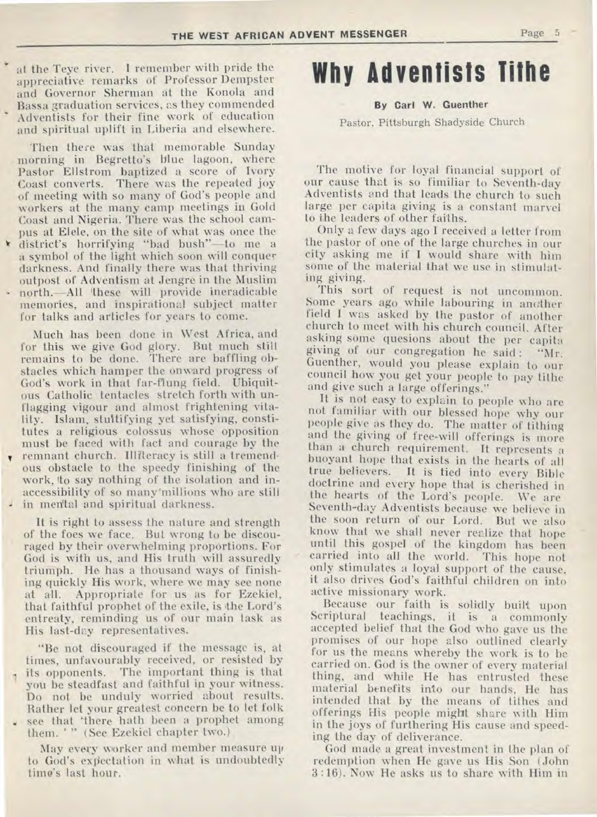• at the Teye river. I remember with pride the appreciative remarks of Professor Dempster and Governor Sherman at the Konola and Bassa graduation services, as they commended • Adventists for their fine work of education and spiritual uplift in Liberia and elsewhere.

Then there was that memorable Sunday morning in Begretto's blue lagoon, where Pastor Ellstrom baptized a score of Ivory Coast converts. There was the repeated joy of meeting with so many of God's people and workers at the many camp meetings in Gold Coast and Nigeria. There was the school campus at Elele, on the site of what was once the \* district's horrifying "bad bush"—to me a a symbol of the light which soon will conquer darkness. And finally there was that thriving outpost of Adventism at Jengre in the Muslim north.—All 'these will provide ineradicable memories, and inspirational subject matter for talks and articles for years to come.

Much has been done in West Africa, and for this we give God glory. But much still remains to be done. There are baffling obstacles which hamper the onward progress of God's work in that far-flung field. Ubiquitous Catholic tentacles stretch forth with unflagging vigour and almost frightening vitality. Islam, stultifying yet satisfying, constitutes a religious colossus whose opposition must be faced with fact and courage by the remnant church. Illiteracy is still a tremendous obstacle to the speedy finishing of the work, to say nothing of the isolation and inaccessibility of so many'millions who are still in mental and spiritual darkness.

It is right to assess the nature and strength of the foes we face. But wrong to be discouraged by their overwhelming proportions. For God is with us, and His truth will assuredly triumph. He has a thousand ways of finishing quickly His work, where we may see none at all. Appropriate for us as for Ezekiel, that faithful prophet of the exile, is the Lord's entreaty, reminding us of our main task as His last-day representatives.

"Be not discouraged if the message is, at times, unfavourably received, or resisted by its opponents. The important thing is that you be steadfast and faithful in your witness. Do not be unduly worried about results. Rather let your greatest concern be to let folk **<sup>4</sup>**see that 'there hath been a prophet among them. ' " (See Ezekiel chapter two.)

May every worker and member measure up to God's expectation in what is undoubtedly time's last hour.

## **Why Adventists Tithe**

#### **By Carl W. Guenther**

Pastor, Pittsburgh Shadyside Church

The motive for loyal financial support of our cause that is so fimiliar to Seventh-day Adventists and that leads the church to such large per capita giving is a constant marvel to the leaders of other faiths.

Only a few days ago I received a letter from the pastor of one of the large churches in our city asking me if I would share with him some of the material that we use in stimulating giving.

This sort of request is not uncommon. Some years ago while labouring in another field I was asked by the pastor of another church to meet with his church council. After asking some quesions about the per capita giving of our congregation he said : "Mr. Guenther, would you please explain to our council how you get your people to pay tithe and give such a large offerings."

It is not easy to explain to people who are not familiar with our blessed hope why our people give as they do. The matter of tithing and the giving of free-will offerings is more than a church requirement. It represents a buoyant hope that exists in the hearts of all true believers. It is tied into every Bible doctrine and every hope that is cherished in the hearts of the Lord's people. We are Seventh-day Adventists because we believe in the soon return of our Lord. But we also know that we shall never realize that hope until this gospel of the kingdom has been carried into all the world. This hope not only stimulates a loyal support of the cause, it also drives God's faithful children on into active missionary work.

Because our faith is solidly built upon Scriptural teachings, it is a commonly accepted belief that the God who gave us the promises of our hope also outlined clearly for us the means whereby the work is to be carried on. God is the owner of every material thing, and while He has entrusted these material benefits into our hands, He has intended that by the means of tithes and offerings His people might share with Him in the joys of furthering His cause and speeding the day of deliverance.

God made a great investment in the plan of redemption when He gave us His Son (John 3 :16). Now He asks us to share with Him in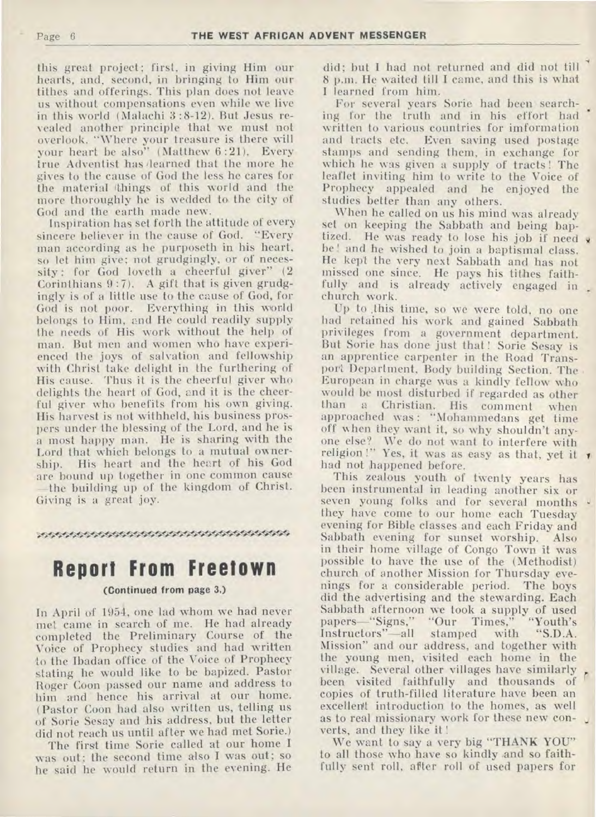this great project; first, in giving Him our hearts, and, second, in bringing to Him our tithes and offerings. This plan does not leave us without compensations even while we live in this world (Malachi 3:8-12). But Jesus revealed another principle that we must not overlook. "Where your treasure is there will your heart be also" (Matthew 6 :21). Every true Adventist has 'learned that the more he gives to the cause of God the less he cares for the material (things of this world and the more thoroughly he is wedded to the city of God and the earth made new.

Inspiration has set forth the attitude of every sincere believer in the cause of God. "Every man according as he purposeth in his heart, so let him give; not grudgingly, or of necessity : for God loveth a cheerful giver" (2 Corinthians 9 :7). A gift that is given grudgingly is of a little use to the cause of God, for God is not poor. Everything in this world belongs to Him, and He could readily supply the needs of His work without the help of man. But men and women who have experienced the joys of salvation and fellowship with Christ take delight in the furthering of His cause. Thus it is the cheerful giver who delights the heart of God, and it is the cheerful giver who benefits from his own giving. His harvest is not withheld, his business prospers under the blessing of the Lord, and he is a most happy man. He is sharing with the Lord that which belongs to a mutual ownership. His heart and the heart of his God are bound up together in one common cause —the building up of the kingdom of Christ. Giving is a great joy.

&`"'"-S4A•4./. -4<sup>1</sup> .•4VV`<sup>44</sup>t5.1kWlit.t4i544

## **Report From Freetown**

#### **(Continued from page 3.)**

In April of 1954, one lad whom we had never met came in search of me. He had already completed the Preliminary Course of the Voice of Prophecy studies and had written to the Ibadan office of the Voice of Prophecy stating he would like to be bapized. Pastor Roger Coon passed our name and address to him and hence his arrival at our home. (Pastor Coon had also written us, telling us of Sorie Sesay and his address, but the letter did not reach us until after we had met Sorie.)

The first time Sorie called at our home I was out; the second time also I was out; so he said he would return in the evening. He did; but I had not returned and did not till 8 p.m. He waited till I came, and this is what I learned from him.

For several years Sorie had been searching for the truth and in his effort had written to various countries for imformation and tracts etc. Even saving used postage stamps and sending them, in exchange for which he was given a supply of tracts ! The leaflet inviting him to write to the Voice of Prophecy appealed and he enjoyed the studies better than any others.

When he called on us his mind was already set on keeping the Sabbath and being baptized. He was ready to lose his job if need x be ! and he wished to join a baptismal class. He kept the very next Sabbath and has not missed one since. He pays his tithes faithfully and is already actively engaged in. church work.

Up to ,this time, so we were told, no one had retained his work and gained Sabbath privileges from a government department. But Sorie has done just that ! Sorie Sesay is an apprentice carpenter in the Road Transport Department, Body building Section. The European in charge was a kindly fellow who would be most disturbed if regarded as other a Christian. His comment when approached was : "Mohammedans get time off when they want it, so why shouldn't anyone else? We do not want to interfere with religion !" Yes, it was as easy as that, yet it  $\prime$ had not happened before.

This zealous youth of twenty years has been instrumental in leading another six or seven young folks and for several months they have come to our home each Tuesday evening for Bible classes and each Friday and Sabbath evening for sunset worship. Also in their home village of Congo Town it was possible to have the use of the (Methodist) church of another Mission for Thursday evenings for a considerable period. The boys did the advertising and the stewarding. Each Sabbath afternoon we took a supply of used<br>papers—"Signs," "Our Times," "Youth's papers—"Signs," "Our Times," "Youth's<br>Instructors"—all stamped with "S.D.A. Instructors"—all stamped Mission" and our address, and together with the young men, visited each home in the village. Several other villages have similarly been visited faithfully and thousands of copies of truth-filled literature have been an excellent introduction to the homes, as well as to real missionary work for these new converts, and they like it !

We want to say a very big "THANK YOU" to all those who have so kindly and so faithfully sent roll, after roll of used papers for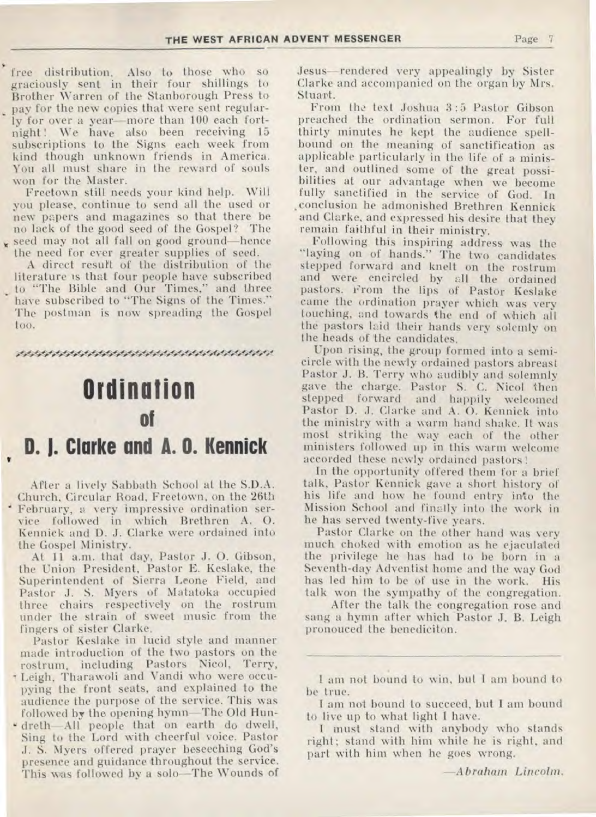free distribution. Also to those who so graciously sent in their four shillings to Brother Warren of the Stanborough Press to pay for the new copies that were sent regularly for over a year—more than 100 each fortnight! We have also been receiving 15 subscriptions to the Signs each week from kind though unknown friends in America. You all must share in the reward of souls won for the Master.

Freetown still needs your kind help. Will you please, continue to send all the used or new papers and magazines so that there be no lack of the good seed of the Gospel? The seed may not all fall on good ground—hence the need for ever greater supplies of seed.

A direct resurt of the distribution of the literature is that four people have subscribed to "The Bible and Our Times," and three have subscribed to "The Signs of the Times." The postman is now spreading the Gospel too.

A•fA5WM44.44SAitilAW•44,0461A:

## **Ordination of**

## **D. J. Clarke and A. O. Kennick**

After a lively Sabbath School at the S.D.A. Church, Circular Road, Freetown, on the 26th February, a very impressive ordination service followed in which Brethren A. 0. Kennick and D. J. Clarke were ordained into the Gospel Ministry.

At 11 a.m. that day, Pastor J. 0. Gibson, the Union President, Pastor E. Keslake, the Superintendent of Sierra Leone Field, and Pastor J. S. Myers of Matatoka occupied three chairs respectively on the rostrum under the strain of sweet music from the fingers of sister Clarke.

Pastor Keslake in lucid style and manner made introduction of the two pastors on the rostrum, including Pastors Nicol, Terry, Leigh, Tharawoli and Vandi who were occupying the front seats, and explained to the audience the purpose of the service. This was followed by the opening hymn—The Old Hun-

' dreth—All people that on earth do dwell, Sing to the Lord with cheerful voice. Pastor J. S. Myers offered prayer beseeching God's presence and guidance throughout the service. This was followed by a solo—The Wounds of Jesus—rendered very appealingly by Sister Clarke and accompanied on the organ by Mrs. Stuart.

From the text Joshua 3:5 Pastor Gibson preached the ordination sermon. For full thirty minutes he kept the audience spellbound on the meaning of sanctification as applicable particularly in the life of a minister, and outlined some of the great possibilities at our advantage when we become fully sanctified in the service of God. In ,conclusion he admonished Brethren Kennick and Clarke, and expressed his desire that they remain faithful in their ministry.

Following this inspiring address was the "laying on of hands." The two candidates stepped forward and knelt on the rostrum and were encircled by all the ordained pastors. From the lips of Pastor Keslake came the ordination prayer which was very touching, and towards the end of which all the pastors laid their hands very solemly on the heads of the candidates.

Upon rising, the group formed into a semicircle with the newly ordained pastors abreast Pastor J. B. Terry who audibly and solemnly gave the charge. Pastor S. C. Nicol then stepped forward and happily welcomed Pastor D. J. Clarke and A. 0. Kennick into the ministry with a warm hand shake. It was most striking the way each of the other ministers followed up in this warm welcome accorded these newly ordained pastors!

In the opportunity offered them for a brief talk, Pastor Kennick gave a short history of his life and how he found entry into the Mission School and finally into the work in he has served twenty-five years.

Pastor Clarke on the other hand was very much choked with emotion as he ejaculated the privilege he has had to be born in a Seventh-day Adventist home and the way God has led him to be of use in the work. His talk won the sympathy of the congregation.

After the talk the congregation rose and sang a hymn after which Pastor J. B. Leigh pronouced the benediciton.

I am not bound to win, but I am bound to be true.

I am not bound to succeed, but I am bound to live up to what light I have.

I must stand with anybody who stands right ; stand with him while he is right, and part with him when he goes wrong.